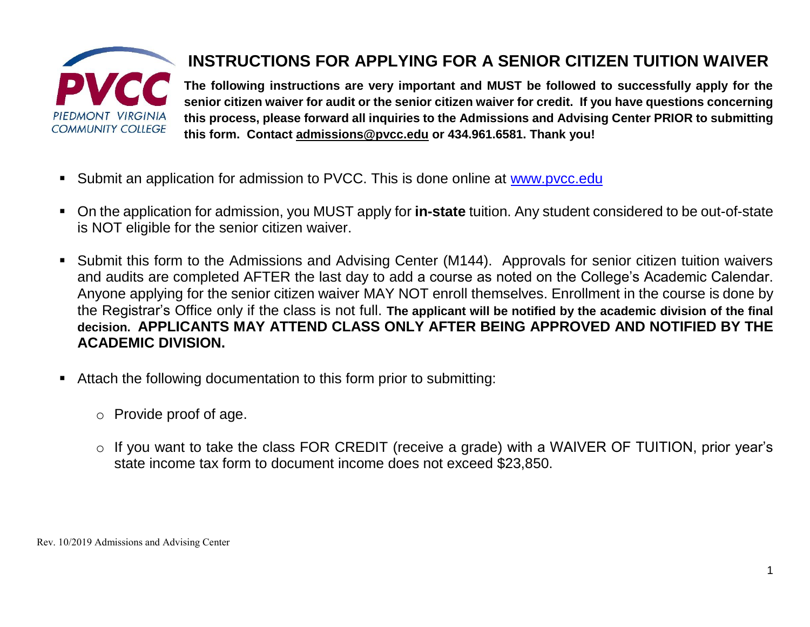

## **INSTRUCTIONS FOR APPLYING FOR A SENIOR CITIZEN TUITION WAIVER**

**The following instructions are very important and MUST be followed to successfully apply for the senior citizen waiver for audit or the senior citizen waiver for credit. If you have questions concerning this process, please forward all inquiries to the Admissions and Advising Center PRIOR to submitting this form. Contact [admissions@pvcc.edu](mailto:admissions@pvcc.edu) or 434.961.6581. Thank you!**

- Submit an application for admission to PVCC. This is done online at [www.pvcc.edu](http://www.pvcc.edu/)
- On the application for admission, you MUST apply for **in-state** tuition. Any student considered to be out-of-state is NOT eligible for the senior citizen waiver.
- Submit this form to the Admissions and Advising Center (M144). Approvals for senior citizen tuition waivers and audits are completed AFTER the last day to add a course as noted on the College's Academic Calendar. Anyone applying for the senior citizen waiver MAY NOT enroll themselves. Enrollment in the course is done by the Registrar's Office only if the class is not full. **The applicant will be notified by the academic division of the final decision. APPLICANTS MAY ATTEND CLASS ONLY AFTER BEING APPROVED AND NOTIFIED BY THE ACADEMIC DIVISION.**
- Attach the following documentation to this form prior to submitting:
	- o Provide proof of age.
	- o If you want to take the class FOR CREDIT (receive a grade) with a WAIVER OF TUITION, prior year's state income tax form to document income does not exceed \$23,850.